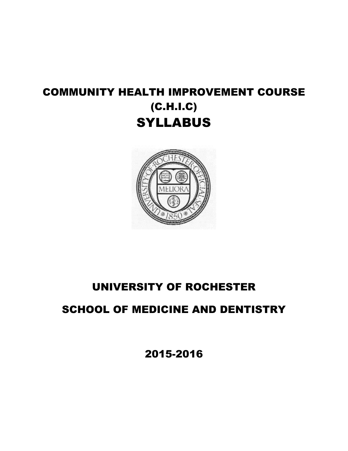# COMMUNITY HEALTH IMPROVEMENT COURSE (C.H.I.C) **SYLLABUS**



# UNIVERSITY OF ROCHESTER

# SCHOOL OF MEDICINE AND DENTISTRY

2015-2016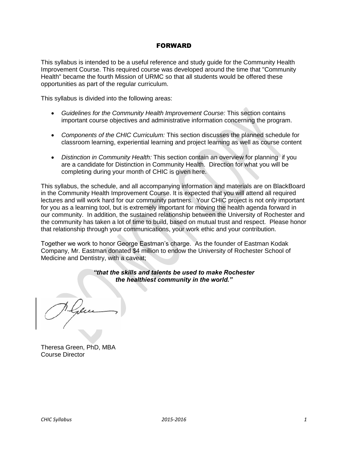## FORWARD

This syllabus is intended to be a useful reference and study guide for the Community Health Improvement Course. This required course was developed around the time that "Community Health" became the fourth Mission of URMC so that all students would be offered these opportunities as part of the regular curriculum.

This syllabus is divided into the following areas:

- *Guidelines for the Community Health Improvement Course:* This section contains important course objectives and administrative information concerning the program.
- *Components of the CHIC Curriculum:* This section discusses the planned schedule for classroom learning, experiential learning and project learning as well as course content
- *Distinction in Community Health:* This section contain an overview for planning if you are a candidate for Distinction in Community Health. Direction for what you will be completing during your month of CHIC is given here.

This syllabus, the schedule, and all accompanying information and materials are on BlackBoard in the Community Health Improvement Course. It is expected that you will attend all required lectures and will work hard for our community partners. Your CHIC project is not only important for you as a learning tool, but is extremely important for moving the health agenda forward in our community. In addition, the sustained relationship between the University of Rochester and the community has taken a lot of time to build, based on mutual trust and respect. Please honor that relationship through your communications, your work ethic and your contribution.

Together we work to honor George Eastman's charge. As the founder of Eastman Kodak Company, Mr. Eastman donated \$4 million to endow the University of Rochester School of Medicine and Dentistry, with a caveat;

## *"that the skills and talents be used to make Rochester the healthiest community in the world."*

Theresa Green, PhD, MBA Course Director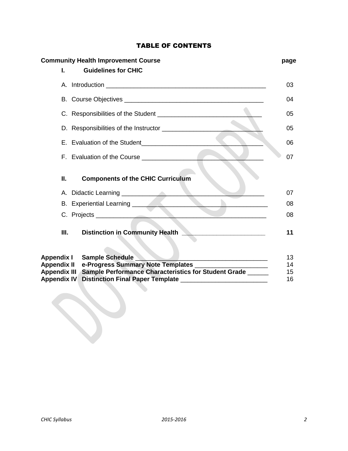## TABLE OF CONTENTS

| <b>Community Health Improvement Course</b> |                                                                                                                |          |
|--------------------------------------------|----------------------------------------------------------------------------------------------------------------|----------|
| L.                                         | <b>Guidelines for CHIC</b>                                                                                     |          |
|                                            |                                                                                                                | 03       |
|                                            |                                                                                                                | 04       |
|                                            |                                                                                                                | 05       |
|                                            |                                                                                                                | 05       |
|                                            |                                                                                                                | 06       |
|                                            |                                                                                                                | 07       |
| П.                                         | <b>Components of the CHIC Curriculum</b>                                                                       |          |
|                                            |                                                                                                                | 07       |
|                                            | B. Experiential Learning ___________________                                                                   | 08       |
|                                            |                                                                                                                | 08       |
| Ш.                                         | Distinction in Community Health <b>Network of Australian Community</b>                                         | 11       |
| Appendix I                                 | <b>Sample Schedule</b>                                                                                         | 13       |
| <b>Appendix II</b><br><b>Appendix III</b>  | e-Progress Summary Note Templates _____________<br>Sample Performance Characteristics for Student Grade ______ | 14<br>15 |
| <b>Appendix IV</b>                         | <b>Distinction Final Paper Template</b>                                                                        | 16       |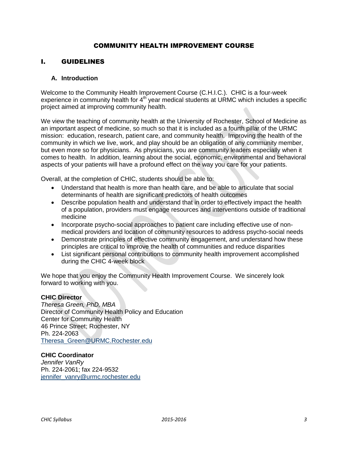## COMMUNITY HEALTH IMPROVEMENT COURSE

## I. GUIDELINES

## **A. Introduction**

Welcome to the Community Health Improvement Course (C.H.I.C.). CHIC is a four-week experience in community health for  $4<sup>th</sup>$  year medical students at URMC which includes a specific project aimed at improving community health.

We view the teaching of community health at the University of Rochester, School of Medicine as an important aspect of medicine, so much so that it is included as a fourth pillar of the URMC mission: education, research, patient care, and community health. Improving the health of the community in which we live, work, and play should be an obligation of any community member, but even more so for physicians. As physicians, you are community leaders especially when it comes to health. In addition, learning about the social, economic, environmental and behavioral aspects of your patients will have a profound effect on the way you care for your patients.

Overall, at the completion of CHIC, students should be able to:

- Understand that health is more than health care, and be able to articulate that social determinants of health are significant predictors of health outcomes
- Describe population health and understand that in order to effectively impact the health of a population, providers must engage resources and interventions outside of traditional medicine
- Incorporate psycho-social approaches to patient care including effective use of nonmedical providers and location of community resources to address psycho-social needs
- Demonstrate principles of effective community engagement, and understand how these principles are critical to improve the health of communities and reduce disparities
- List significant personal contributions to community health improvement accomplished during the CHIC 4-week block

We hope that you enjoy the Community Health Improvement Course. We sincerely look forward to working with you.

#### **CHIC Director**

*Theresa Green, PhD, MBA*  Director of Community Health Policy and Education Center for Community Health 46 Prince Street; Rochester, NY Ph. 224-2063 [Theresa\\_Green@URMC.Rochester.edu](mailto:Theresa_Green@URMC.Rochester.edu)

## **CHIC Coordinator**

*Jennifer VanRy* Ph. 224-2061; fax 224-9532 [jennifer\\_vanry@urmc.rochester.edu](mailto:jennifer_vanry@urmc.rochester.edu)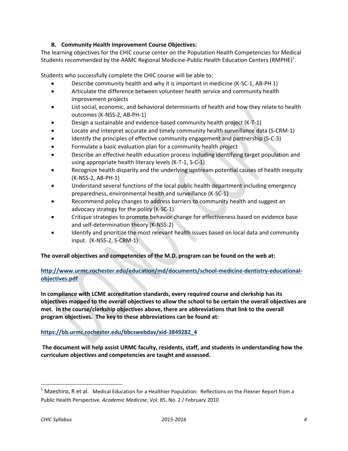## **B. Community Health Improvement Course Objectives:**

The learning objectives for the CHIC course center on the Population Health Competencies for Medical Students recommended by the AAMC Regional Medicine-Public Health Education Centers (RMPHE)<sup>1</sup>.

Students who successfully complete the CHIC course will be able to:

- Describe community health and why it is important in medicine (K-SC-1, AB-PH 1)
- Articulate the difference between volunteer health service and community health improvement projects
- List social, economic, and behavioral determinants of health and how they relate to health outcomes (K-NSS-2, AB-PH-1)
- Design a sustainable and evidence-based community health project (K-T-1)
- Locate and interpret accurate and timely community health surveillance data (S-CRM-1)
- Identify the principles of effective community engagement and partnership (S-C-3)
- Formulate a basic evaluation plan for a community health project
- Describe an effective health education process including identifying target population and using appropriate health literacy levels (K-T-1, S-C-1)
- Recognize health disparity and the underlying upstream potential causes of health inequity (K-NSS-2, AB-PH-1)
- Understand several functions of the local public health department including emergency preparedness, environmental health and surveillance (K-SC-1)
- Recommend policy changes to address barriers to community health and suggest an advocacy strategy for the policy (K-SC-1)
- Critique strategies to promote behavior change for effectiveness based on evidence base and self-determination theory (K-NSS-2)
- Identify and prioritize the most relevant health issues based on local data and community input. (K-NSS-2, S-CRM-1)

## **The overall objectives and competencies of the M.D. program can be found on the web at:**

## **[http://www.urmc.rochester.edu/education/md/documents/school-medicine-dentistry-educational](http://www.urmc.rochester.edu/education/md/documents/school-medicine-dentistry-educational-objectives.pdf)[objectives.pdf](http://www.urmc.rochester.edu/education/md/documents/school-medicine-dentistry-educational-objectives.pdf)**

**In compliance with LCME accreditation standards, every required course and clerkship has its objectives mapped to the overall objectives to allow the school to be certain the overall objectives are met. In the course/clerkship objectives above, there are abbreviations that link to the overall program objectives. The key to these abbreviations can be found at:**

## **[https://bb.urmc.rochester.edu/bbcswebdav/xid-3849282\\_4](https://bb.urmc.rochester.edu/bbcswebdav/xid-3849282_4)**

**The document will help assist URMC faculty, residents, staff, and students in understanding how the curriculum objectives and competencies are taught and assessed.**

 $\overline{a}$ 

 $<sup>1</sup>$  Maeshiro, R et al. Medical Education for a Healthier Population: Reflections on the Flexner Report from a</sup> Public Health Perspective. *Academic Medicine*, Vol. 85, No. 2 / February 2010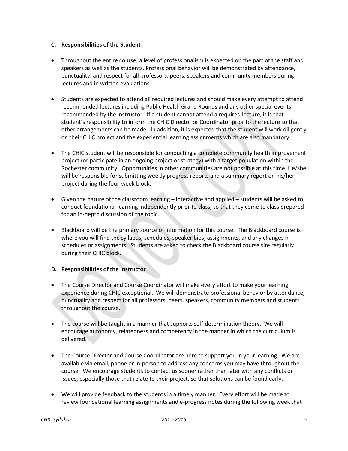#### **C. Responsibilities of the Student**

- Throughout the entire course, a level of professionalism is expected on the part of the staff and speakers as well as the students. Professional behavior will be demonstrated by attendance, punctuality, and respect for all professors, peers, speakers and community members during lectures and in written evaluations.
- Students are expected to attend all required lectures and should make every attempt to attend recommended lectures including Public Health Grand Rounds and any other special events recommended by the instructor. If a student cannot attend a required lecture, it is that student's responsibility to inform the CHIC Director or Coordinator prior to the lecture so that other arrangements can be made. In addition, it is expected that the student will work diligently on their CHIC project and the experiential learning assignments which are also mandatory.
- The CHIC student will be responsible for conducting a complete community health improvement project (or participate in an ongoing project or strategy) with a target population within the Rochester community. Opportunities in other communities are not possible at this time. He/she will be responsible for submitting weekly progress reports and a summary report on his/her project during the four-week block.
- Given the nature of the classroom learning interactive and applied students will be asked to conduct foundational learning independently prior to class, so that they come to class prepared for an in-depth discussion of the topic.
- Blackboard will be the primary source of information for this course. The Blackboard course is where you will find the syllabus, schedules, speaker bios, assignments, and any changes in schedules or assignments. Students are asked to check the Blackboard course site regularly during their CHIC block.

#### **D. Responsibilities of the Instructor**

- The Course Director and Course Coordinator will make every effort to make your learning experience during CHIC exceptional. We will demonstrate professional behavior by attendance, punctuality and respect for all professors, peers, speakers, community members and students throughout the course.
- The course will be taught in a manner that supports self-determination theory. We will encourage autonomy, relatedness and competency in the manner in which the curriculum is delivered.
- The Course Director and Course Coordinator are here to support you in your learning. We are available via email, phone or in-person to address any concerns you may have throughout the course. We encourage students to contact us sooner rather than later with any conflicts or issues, especially those that relate to their project, so that solutions can be found early.
- We will provide feedback to the students in a timely manner. Every effort will be made to review foundational learning assignments and e-progress notes during the following week that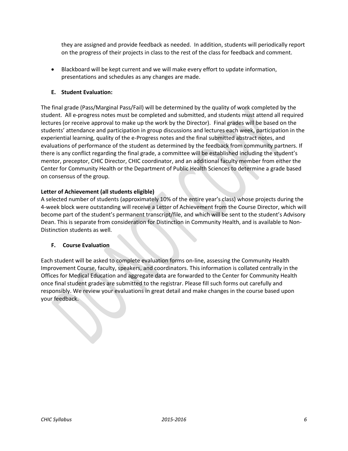they are assigned and provide feedback as needed. In addition, students will periodically report on the progress of their projects in class to the rest of the class for feedback and comment.

 Blackboard will be kept current and we will make every effort to update information, presentations and schedules as any changes are made.

## **E. Student Evaluation:**

The final grade (Pass/Marginal Pass/Fail) will be determined by the quality of work completed by the student. All e-progress notes must be completed and submitted, and students must attend all required lectures (or receive approval to make up the work by the Director). Final grades will be based on the students' attendance and participation in group discussions and lectures each week, participation in the experiential learning, quality of the e-Progress notes and the final submitted abstract notes, and evaluations of performance of the student as determined by the feedback from community partners. If there is any conflict regarding the final grade, a committee will be established including the student's mentor, preceptor, CHIC Director, CHIC coordinator, and an additional faculty member from either the Center for Community Health or the Department of Public Health Sciences to determine a grade based on consensus of the group.

#### **Letter of Achievement (all students eligible)**

A selected number of students (approximately 10% of the entire year's class) whose projects during the 4-week block were outstanding will receive a Letter of Achievement from the Course Director, which will become part of the student's permanent transcript/file, and which will be sent to the student's Advisory Dean. This is separate from consideration for Distinction in Community Health, and is available to Non-Distinction students as well.

#### **F. Course Evaluation**

Each student will be asked to complete evaluation forms on-line, assessing the Community Health Improvement Course, faculty, speakers, and coordinators. This information is collated centrally in the Offices for Medical Education and aggregate data are forwarded to the Center for Community Health once final student grades are submitted to the registrar. Please fill such forms out carefully and responsibly. We review your evaluations in great detail and make changes in the course based upon your feedback.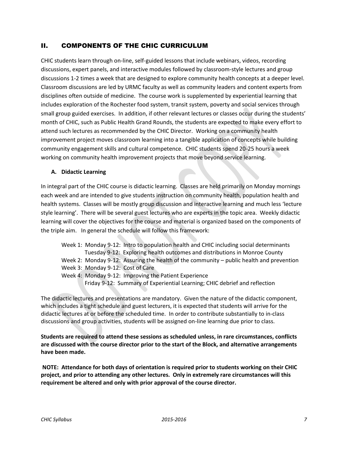## II. COMPONENTS OF THE CHIC CURRICULUM

CHIC students learn through on-line, self-guided lessons that include webinars, videos, recording discussions, expert panels, and interactive modules followed by classroom-style lectures and group discussions 1-2 times a week that are designed to explore community health concepts at a deeper level. Classroom discussions are led by URMC faculty as well as community leaders and content experts from disciplines often outside of medicine. The course work is supplemented by experiential learning that includes exploration of the Rochester food system, transit system, poverty and social services through small group guided exercises. In addition, if other relevant lectures or classes occur during the students' month of CHIC, such as Public Health Grand Rounds, the students are expected to make every effort to attend such lectures as recommended by the CHIC Director. Working on a community health improvement project moves classroom learning into a tangible application of concepts while building community engagement skills and cultural competence. CHIC students spend 20-25 hours a week working on community health improvement projects that move beyond service learning.

## **A. Didactic Learning**

In integral part of the CHIC course is didactic learning. Classes are held primarily on Monday mornings each week and are intended to give students instruction on community health, population health and health systems. Classes will be mostly group discussion and interactive learning and much less 'lecture style learning'. There will be several guest lectures who are experts in the topic area. Weekly didactic learning will cover the objectives for the course and material is organized based on the components of the triple aim. In general the schedule will follow this framework:

- Week 1: Monday 9-12: Intro to population health and CHIC including social determinants Tuesday 9-12: Exploring health outcomes and distributions in Monroe County
- Week 2: Monday 9-12: Assuring the health of the community public health and prevention
- Week 3: Monday 9-12: Cost of Care
- Week 4: Monday 9-12: Improving the Patient Experience
	- Friday 9-12: Summary of Experiential Learning; CHIC debrief and reflection

The didactic lectures and presentations are mandatory. Given the nature of the didactic component, which includes a tight schedule and guest lecturers, it is expected that students will arrive for the didactic lectures at or before the scheduled time. In order to contribute substantially to in-class discussions and group activities, students will be assigned on-line learning due prior to class.

**Students are required to attend these sessions as scheduled unless, in rare circumstances, conflicts are discussed with the course director prior to the start of the Block, and alternative arrangements have been made.**

**NOTE: Attendance for both days of orientation is required prior to students working on their CHIC project, and prior to attending any other lectures. Only in extremely rare circumstances will this requirement be altered and only with prior approval of the course director.**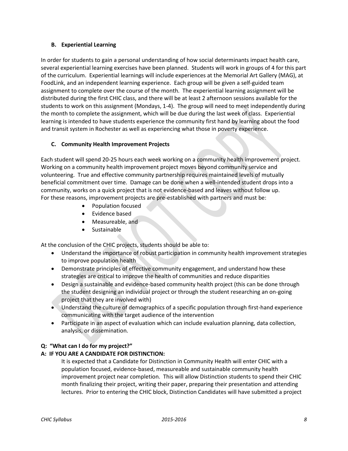#### **B. Experiential Learning**

In order for students to gain a personal understanding of how social determinants impact health care, several experiential learning exercises have been planned. Students will work in groups of 4 for this part of the curriculum. Experiential learnings will include experiences at the Memorial Art Gallery (MAG), at FoodLink, and an independent learning experience. Each group will be given a self-guided team assignment to complete over the course of the month. The experiential learning assignment will be distributed during the first CHIC class, and there will be at least 2 afternoon sessions available for the students to work on this assignment (Mondays, 1-4). The group will need to meet independently during the month to complete the assignment, which will be due during the last week of class. Experiential learning is intended to have students experience the community first hand by learning about the food and transit system in Rochester as well as experiencing what those in poverty experience.

## **C. Community Health Improvement Projects**

Each student will spend 20-25 hours each week working on a community health improvement project. Working on a community health improvement project moves beyond community service and volunteering. True and effective community partnership requires maintained levels of mutually beneficial commitment over time. Damage can be done when a well-intended student drops into a community, works on a quick project that is not evidence-based and leaves without follow up. For these reasons, improvement projects are pre-established with partners and must be:

- Population focused
- Evidence based
- Measureable, and
- Sustainable

At the conclusion of the CHIC projects, students should be able to:

- Understand the importance of robust participation in community health improvement strategies to improve population health
- Demonstrate principles of effective community engagement, and understand how these strategies are critical to improve the health of communities and reduce disparities
- Design a sustainable and evidence-based community health project (this can be done through the student designing an individual project or through the student researching an on-going project that they are involved with)
- Understand the culture of demographics of a specific population through first-hand experience communicating with the target audience of the intervention
- Participate in an aspect of evaluation which can include evaluation planning, data collection, analysis, or dissemination.

## **Q: "What can I do for my project?"**

#### **A: IF YOU ARE A CANDIDATE FOR DISTINCTION:**

It is expected that a Candidate for Distinction in Community Health will enter CHIC with a population focused, evidence-based, measureable and sustainable community health improvement project near completion. This will allow Distinction students to spend their CHIC month finalizing their project, writing their paper, preparing their presentation and attending lectures. Prior to entering the CHIC block, Distinction Candidates will have submitted a project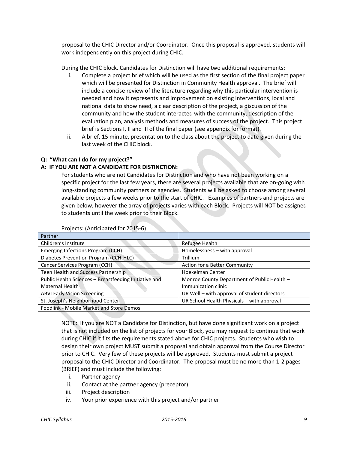proposal to the CHIC Director and/or Coordinator. Once this proposal is approved, students will work independently on this project during CHIC.

During the CHIC block, Candidates for Distinction will have two additional requirements:

- i. Complete a project brief which will be used as the first section of the final project paper which will be presented for Distinction in Community Health approval. The brief will include a concise review of the literature regarding why this particular intervention is needed and how it represents and improvement on existing interventions, local and national data to show need, a clear description of the project, a discussion of the community and how the student interacted with the community, description of the evaluation plan, analysis methods and measures of success of the project. This project brief is Sections I, II and III of the final paper (see appendix for format).
- ii. A brief, 15 minute, presentation to the class about the project to date given during the last week of the CHIC block.

## **Q: "What can I do for my project?"**

#### **A: IF YOU ARE NOT A CANDIDATE FOR DISTINCTION:**

For students who are not Candidates for Distinction and who have not been working on a specific project for the last few years, there are several projects available that are on-going with long-standing community partners or agencies. Students will be asked to choose among several available projects a few weeks prior to the start of CHIC. Examples of partners and projects are given below, however the array of projects varies with each Block. Projects will NOT be assigned to students until the week prior to their Block.

| Partner                                               |                                              |  |
|-------------------------------------------------------|----------------------------------------------|--|
| Children's Institute                                  | <b>Refugee Health</b>                        |  |
| Emerging Infections Program (CCH)                     | Homelessness - with approval                 |  |
| Diabetes Prevention Program (CCH-HLC)                 | Trillium                                     |  |
| Cancer Services Program (CCH)                         | Action for a Better Community                |  |
| Teen Health and Success Partnership                   | Hoekelman Center                             |  |
| Public Health Sciences - Breastfeeding Initiative and | Monroe County Department of Public Health -  |  |
| Maternal Health                                       | Immunization clinic                          |  |
| <b>ABVI Early Vision Screening</b>                    | UR Well - with approval of student directors |  |
| St. Joseph's Neighborhood Center                      | UR School Health Physicals - with approval   |  |
| Foodlink - Mobile Market and Store Demos              |                                              |  |

Projects: (Anticipated for 2015-6)

NOTE: If you are NOT a Candidate for Distinction, but have done significant work on a project that is not included on the list of projects for your Block, you may request to continue that work during CHIC if it fits the requirements stated above for CHIC projects. Students who wish to design their own project MUST submit a proposal and obtain approval from the Course Director prior to CHIC. Very few of these projects will be approved. Students must submit a project proposal to the CHIC Director and Coordinator. The proposal must be no more than 1-2 pages (BRIEF) and must include the following:

- i. Partner agency
- ii. Contact at the partner agency (preceptor)
- iii. Project description
- iv. Your prior experience with this project and/or partner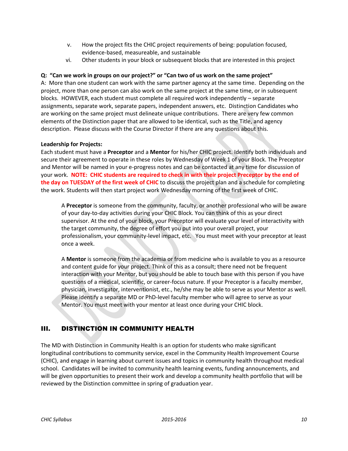- v. How the project fits the CHIC project requirements of being: population focused, evidence-based, measureable, and sustainable
- vi. Other students in your block or subsequent blocks that are interested in this project

## **Q: "Can we work in groups on our project?" or "Can two of us work on the same project"**

A: More than one student can work with the same partner agency at the same time. Depending on the project, more than one person can also work on the same project at the same time, or in subsequent blocks. HOWEVER, each student must complete all required work independently – separate assignments, separate work, separate papers, independent answers, etc. Distinction Candidates who are working on the same project must delineate unique contributions. There are very few common elements of the Distinction paper that are allowed to be identical, such as the Title, and agency description. Please discuss with the Course Director if there are any questions about this.

#### **Leadership for Projects:**

Each student must have a **Preceptor** and a **Mentor** for his/her CHIC project. Identify both individuals and secure their agreement to operate in these roles by Wednesday of Week 1 of your Block. The Preceptor and Mentor will be named in your e-progress notes and can be contacted at any time for discussion of your work. **NOTE: CHIC students are required to check in with their project Preceptor by the end of the day on TUESDAY of the first week of CHIC** to discuss the project plan and a schedule for completing the work. Students will then start project work Wednesday morning of the first week of CHIC.

A **Preceptor** is someone from the community, faculty, or another professional who will be aware of your day-to-day activities during your CHIC Block. You can think of this as your direct supervisor. At the end of your block, your Preceptor will evaluate your level of interactivity with the target community, the degree of effort you put into your overall project, your professionalism, your community-level impact, etc. You must meet with your preceptor at least once a week.

A **Mentor** is someone from the academia or from medicine who is available to you as a resource and content guide for your project. Think of this as a consult; there need not be frequent interaction with your Mentor, but you should be able to touch base with this person if you have questions of a medical, scientific, or career-focus nature. If your Preceptor is a faculty member, physician, investigator, interventionist, etc., he/she may be able to serve as your Mentor as well. Please identify a separate MD or PhD-level faculty member who will agree to serve as your Mentor. You must meet with your mentor at least once during your CHIC block.

## III. DISTINCTION IN COMMUNITY HEALTH

The MD with Distinction in Community Health is an option for students who make significant longitudinal contributions to community service, excel in the Community Health Improvement Course (CHIC), and engage in learning about current issues and topics in community health throughout medical school. Candidates will be invited to community health learning events, funding announcements, and will be given opportunities to present their work and develop a community health portfolio that will be reviewed by the Distinction committee in spring of graduation year.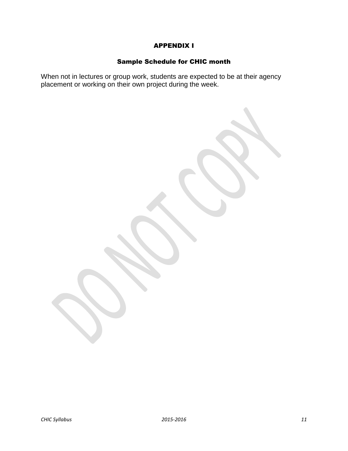## APPENDIX I

## Sample Schedule for CHIC month

When not in lectures or group work, students are expected to be at their agency placement or working on their own project during the week.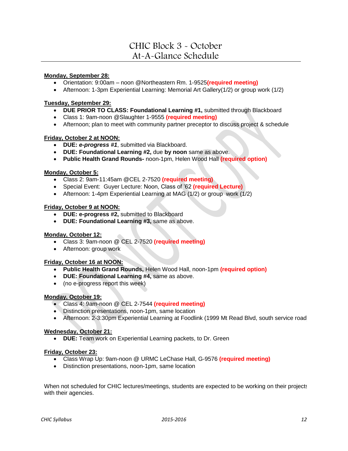# CHIC Block 3 - October At-A-Glance Schedule

#### **Monday, September 28:**

- Orientation: 9:00am noon @Northeastern Rm. 1-9525**(required meeting)**
- Afternoon: 1-3pm Experiential Learning: Memorial Art Gallery(1/2) or group work (1/2)

#### **Tuesday, September 29:**

- **DUE PRIOR TO CLASS: Foundational Learning #1,** submitted through Blackboard
- Class 1: 9am-noon @Slaughter 1-9555 **(required meeting)**
- Afternoon; plan to meet with community partner preceptor to discuss project & schedule

#### **Friday, October 2 at NOON:**

- **DUE:** *e-progress #1*, submitted via Blackboard.
- **DUE: Foundational Learning #2,** due **by noon** same as above.
- **Public Health Grand Rounds-** noon-1pm, Helen Wood Hall **(required option)**

#### **Monday, October 5:**

- Class 2: 9am-11:45am @CEL 2-7520 **(required meeting)**
- Special Event: Guyer Lecture: Noon, Class of '62 **(required Lecture)**
- Afternoon: 1-4pm Experiential Learning at MAG (1/2) or group work (1/2)

#### **Friday, October 9 at NOON:**

- **DUE: e-progress #2,** submitted to Blackboard
- **DUE: Foundational Learning #3,** same as above.

#### **Monday, October 12:**

- Class 3: 9am-noon @ CEL 2-7520 **(required meeting)**
- Afternoon: group work

#### **Friday, October 16 at NOON:**

- **Public Health Grand Rounds,** Helen Wood Hall, noon-1pm **(required option)**
- **DUE: Foundational Learning #4,** same as above.
- (no e-progress report this week)

#### **Monday, October 19:**

- Class 4: 9am-noon @ CEL 2-7544 **(required meeting)**
- Distinction presentations, noon-1pm, same location
- Afternoon: 2-3:30pm Experiential Learning at Foodlink (1999 Mt Read Blvd, south service road)

#### **Wednesday, October 21:**

**DUE:** Team work on Experiential Learning packets, to Dr. Green

#### **Friday, October 23:**

- Class Wrap Up: 9am-noon @ URMC LeChase Hall, G-9576 **(required meeting)**
- Distinction presentations, noon-1pm, same location

When not scheduled for CHIC lectures/meetings, students are expected to be working on their projects with their agencies.